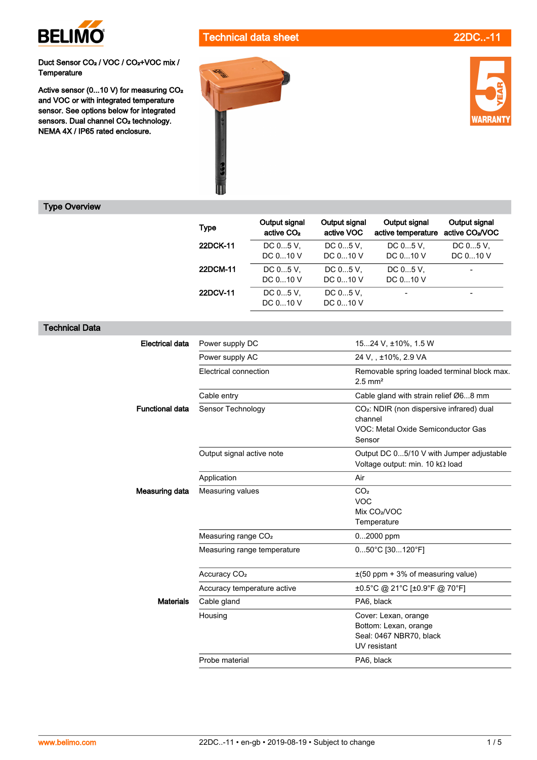

Technical data sheet 22DC..-11

Duct Sensor CO<sub>2</sub> / VOC / CO<sub>2</sub>+VOC mix /<br>Temperature

Active sensor (0...10 V) for measuring CO<sub>2</sub><br>and VOC or with integrated temperature<br>sensor. See options below for integrated sensors. Dual channel CO<sub>2</sub> technology.<br>NEMA 4X / IP65 rated enclosure.





## Type Overview

| <b>Type</b> | Output signal<br>active CO <sub>2</sub> | Output signal<br>active VOC | Output signal<br>active temperature | Output signal<br>active CO <sub>2</sub> /VOC |
|-------------|-----------------------------------------|-----------------------------|-------------------------------------|----------------------------------------------|
| 22DCK-11    | DC $05$ V.                              | DC 05 V.                    | DC $05V$ .                          | DC 05 V.                                     |
|             | DC $010V$                               | DC $010$ V                  | DC $010V$                           | DC 010 V                                     |
| 22DCM-11    | DC $05$ V.                              | DC 05 V.                    | DC $05V$ ,                          |                                              |
|             | DC $010$ V                              | DC $010$ V                  | DC 010 V                            |                                              |
| 22DCV-11    | DC 05 V.                                | DC 05 V.                    |                                     |                                              |
|             | DC 010 V                                | DC $010$ V                  |                                     |                                              |

## Technical Data

| <b>Electrical data</b><br>Power supply DC<br>1524 V, ±10%, 1.5 W<br>Power supply AC<br>24 V, , ±10%, 2.9 VA<br>Electrical connection<br>Removable spring loaded terminal block max.<br>$2.5$ mm <sup>2</sup><br>Cable gland with strain relief Ø68 mm<br>Cable entry |
|----------------------------------------------------------------------------------------------------------------------------------------------------------------------------------------------------------------------------------------------------------------------|
|                                                                                                                                                                                                                                                                      |
|                                                                                                                                                                                                                                                                      |
|                                                                                                                                                                                                                                                                      |
|                                                                                                                                                                                                                                                                      |
| Sensor Technology<br>CO <sub>2</sub> : NDIR (non dispersive infrared) dual<br><b>Functional data</b><br>channel<br>VOC: Metal Oxide Semiconductor Gas<br>Sensor                                                                                                      |
| Output signal active note<br>Output DC 05/10 V with Jumper adjustable<br>Voltage output: min. 10 kΩ load                                                                                                                                                             |
| Air<br>Application                                                                                                                                                                                                                                                   |
| CO <sub>2</sub><br>Measuring data<br>Measuring values<br><b>VOC</b><br>Mix CO <sub>2</sub> /VOC<br>Temperature                                                                                                                                                       |
| Measuring range CO <sub>2</sub><br>02000 ppm                                                                                                                                                                                                                         |
| 050°C [30120°F]<br>Measuring range temperature                                                                                                                                                                                                                       |
| Accuracy CO <sub>2</sub><br>$\pm$ (50 ppm + 3% of measuring value)                                                                                                                                                                                                   |
| ±0.5°C @ 21°C [±0.9°F @ 70°F]<br>Accuracy temperature active                                                                                                                                                                                                         |
| <b>Materials</b><br>Cable gland<br>PA6, black                                                                                                                                                                                                                        |
| Cover: Lexan, orange<br>Housing<br>Bottom: Lexan, orange<br>Seal: 0467 NBR70, black<br>UV resistant                                                                                                                                                                  |
| Probe material<br>PA6, black                                                                                                                                                                                                                                         |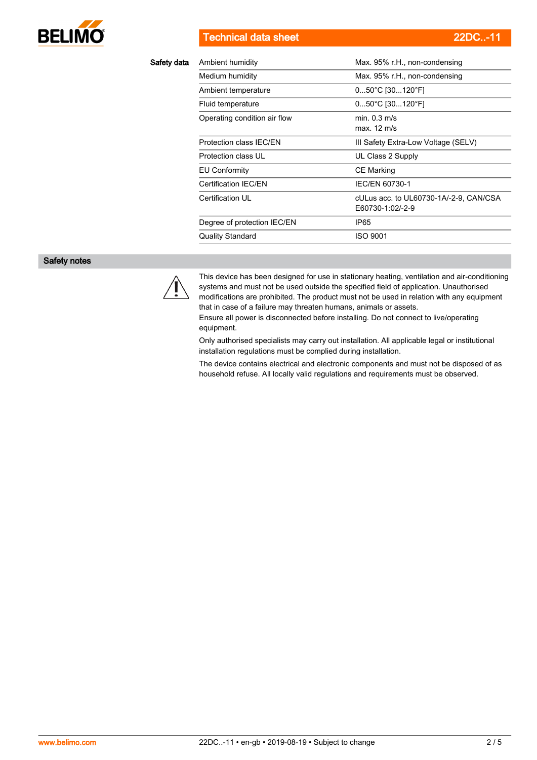

Technical data sheet 22DC..-11

| Safety data | Ambient humidity             | Max. 95% r.H., non-condensing                              |
|-------------|------------------------------|------------------------------------------------------------|
|             | Medium humidity              | Max. 95% r.H., non-condensing                              |
|             | Ambient temperature          | $050^{\circ}$ C [30120 $^{\circ}$ F]                       |
|             | Fluid temperature            | 050°C [30120°F]                                            |
|             | Operating condition air flow | min. $0.3$ m/s<br>max. 12 m/s                              |
|             | Protection class IEC/EN      | III Safety Extra-Low Voltage (SELV)                        |
|             | Protection class UL          | UL Class 2 Supply                                          |
|             | <b>EU Conformity</b>         | CE Marking                                                 |
|             | Certification IEC/EN         | IEC/EN 60730-1                                             |
|             | Certification UL             | cULus acc. to UL60730-1A/-2-9, CAN/CSA<br>E60730-1:02/-2-9 |
|             | Degree of protection IEC/EN  | IP65                                                       |
|             | <b>Quality Standard</b>      | <b>ISO 9001</b>                                            |
|             |                              |                                                            |

## Safety notes



This device has been designed for use in stationary heating, ventilation and air-conditioning systems and must not be used outside the specified field of application. Unauthorised modifications are prohibited. The product must not be used in relation with any equipment that in case of a failure may threaten humans, animals or assets.

Ensure all power is disconnected before installing. Do not connect to live/operating equipment.

Only authorised specialists may carry out installation. All applicable legal or institutional installation regulations must be complied during installation.

The device contains electrical and electronic components and must not be disposed of as household refuse. All locally valid regulations and requirements must be observed.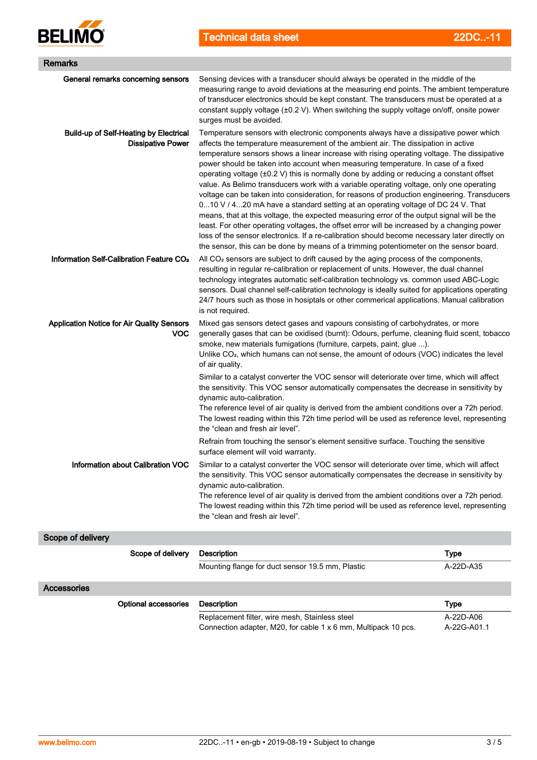

Technical data sheet 22DC..-11

| Remarks                                                                   |                                                                                                                                                                                                                                                                                                                                                                                                                                                                                                                                                                                                                                                                                                                                                                                                                                                                                                                                                                                                                                                                                                                               |                          |  |  |  |
|---------------------------------------------------------------------------|-------------------------------------------------------------------------------------------------------------------------------------------------------------------------------------------------------------------------------------------------------------------------------------------------------------------------------------------------------------------------------------------------------------------------------------------------------------------------------------------------------------------------------------------------------------------------------------------------------------------------------------------------------------------------------------------------------------------------------------------------------------------------------------------------------------------------------------------------------------------------------------------------------------------------------------------------------------------------------------------------------------------------------------------------------------------------------------------------------------------------------|--------------------------|--|--|--|
| General remarks concerning sensors                                        | Sensing devices with a transducer should always be operated in the middle of the<br>measuring range to avoid deviations at the measuring end points. The ambient temperature<br>of transducer electronics should be kept constant. The transducers must be operated at a<br>constant supply voltage (±0.2 V). When switching the supply voltage on/off, onsite power<br>surges must be avoided.                                                                                                                                                                                                                                                                                                                                                                                                                                                                                                                                                                                                                                                                                                                               |                          |  |  |  |
| <b>Build-up of Self-Heating by Electrical</b><br><b>Dissipative Power</b> | Temperature sensors with electronic components always have a dissipative power which<br>affects the temperature measurement of the ambient air. The dissipation in active<br>temperature sensors shows a linear increase with rising operating voltage. The dissipative<br>power should be taken into account when measuring temperature. In case of a fixed<br>operating voltage (±0.2 V) this is normally done by adding or reducing a constant offset<br>value. As Belimo transducers work with a variable operating voltage, only one operating<br>voltage can be taken into consideration, for reasons of production engineering. Transducers<br>010 V / 420 mA have a standard setting at an operating voltage of DC 24 V. That<br>means, that at this voltage, the expected measuring error of the output signal will be the<br>least. For other operating voltages, the offset error will be increased by a changing power<br>loss of the sensor electronics. If a re-calibration should become necessary later directly on<br>the sensor, this can be done by means of a trimming potentiometer on the sensor board. |                          |  |  |  |
| Information Self-Calibration Feature CO <sub>2</sub>                      | All $CO2$ sensors are subject to drift caused by the aging process of the components,<br>resulting in regular re-calibration or replacement of units. However, the dual channel<br>technology integrates automatic self-calibration technology vs. common used ABC-Logic<br>sensors. Dual channel self-calibration technology is ideally suited for applications operating<br>24/7 hours such as those in hosiptals or other commerical applications. Manual calibration<br>is not required.                                                                                                                                                                                                                                                                                                                                                                                                                                                                                                                                                                                                                                  |                          |  |  |  |
| <b>Application Notice for Air Quality Sensors</b><br><b>VOC</b>           | Mixed gas sensors detect gases and vapours consisting of carbohydrates, or more<br>generally gases that can be oxidised (burnt): Odours, perfume, cleaning fluid scent, tobacco<br>smoke, new materials fumigations (furniture, carpets, paint, glue ).<br>Unlike CO <sub>2</sub> , which humans can not sense, the amount of odours (VOC) indicates the level<br>of air quality.                                                                                                                                                                                                                                                                                                                                                                                                                                                                                                                                                                                                                                                                                                                                             |                          |  |  |  |
|                                                                           | Similar to a catalyst converter the VOC sensor will deteriorate over time, which will affect<br>the sensitivity. This VOC sensor automatically compensates the decrease in sensitivity by<br>dynamic auto-calibration.<br>The reference level of air quality is derived from the ambient conditions over a 72h period.<br>The lowest reading within this 72h time period will be used as reference level, representing<br>the "clean and fresh air level".                                                                                                                                                                                                                                                                                                                                                                                                                                                                                                                                                                                                                                                                    |                          |  |  |  |
|                                                                           | Refrain from touching the sensor's element sensitive surface. Touching the sensitive<br>surface element will void warranty.                                                                                                                                                                                                                                                                                                                                                                                                                                                                                                                                                                                                                                                                                                                                                                                                                                                                                                                                                                                                   |                          |  |  |  |
| Information about Calibration VOC                                         | Similar to a catalyst converter the VOC sensor will deteriorate over time, which will affect<br>the sensitivity. This VOC sensor automatically compensates the decrease in sensitivity by<br>dynamic auto-calibration.<br>The reference level of air quality is derived from the ambient conditions over a 72h period.<br>The lowest reading within this 72h time period will be used as reference level, representing<br>the "clean and fresh air level".                                                                                                                                                                                                                                                                                                                                                                                                                                                                                                                                                                                                                                                                    |                          |  |  |  |
| Scope of delivery                                                         |                                                                                                                                                                                                                                                                                                                                                                                                                                                                                                                                                                                                                                                                                                                                                                                                                                                                                                                                                                                                                                                                                                                               |                          |  |  |  |
| Scope of delivery                                                         | <b>Description</b>                                                                                                                                                                                                                                                                                                                                                                                                                                                                                                                                                                                                                                                                                                                                                                                                                                                                                                                                                                                                                                                                                                            | <b>Type</b>              |  |  |  |
|                                                                           | Mounting flange for duct sensor 19.5 mm, Plastic                                                                                                                                                                                                                                                                                                                                                                                                                                                                                                                                                                                                                                                                                                                                                                                                                                                                                                                                                                                                                                                                              | A-22D-A35                |  |  |  |
| Accessories                                                               |                                                                                                                                                                                                                                                                                                                                                                                                                                                                                                                                                                                                                                                                                                                                                                                                                                                                                                                                                                                                                                                                                                                               |                          |  |  |  |
| <b>Optional accessories</b>                                               | <b>Description</b>                                                                                                                                                                                                                                                                                                                                                                                                                                                                                                                                                                                                                                                                                                                                                                                                                                                                                                                                                                                                                                                                                                            | <b>Type</b>              |  |  |  |
|                                                                           | Replacement filter, wire mesh, Stainless steel<br>Connection adapter, M20, for cable 1 x 6 mm, Multipack 10 pcs.                                                                                                                                                                                                                                                                                                                                                                                                                                                                                                                                                                                                                                                                                                                                                                                                                                                                                                                                                                                                              | A-22D-A06<br>A-22G-A01.1 |  |  |  |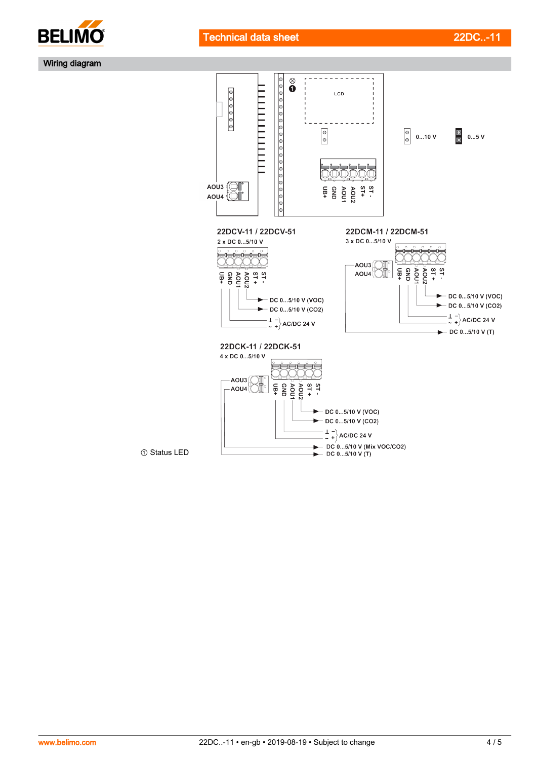



Wiring diagram



① Status LED